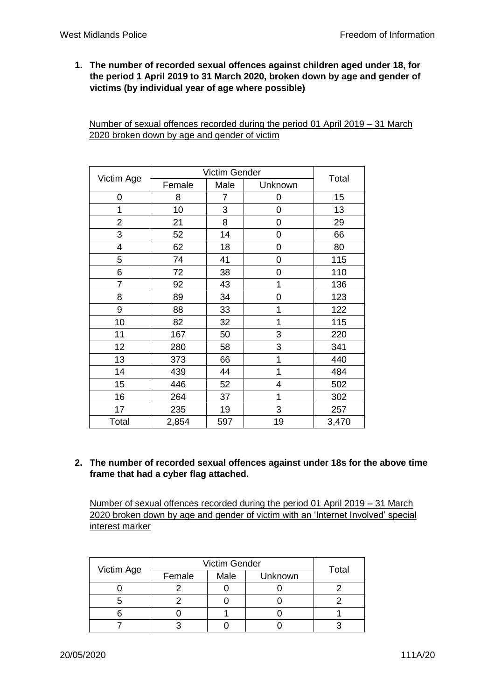**1. The number of recorded sexual offences against children aged under 18, for the period 1 April 2019 to 31 March 2020, broken down by age and gender of victims (by individual year of age where possible)**

Number of sexual offences recorded during the period 01 April 2019 – 31 March 2020 broken down by age and gender of victim

| Victim Age              | Victim Gender |      |         |       |
|-------------------------|---------------|------|---------|-------|
|                         | Female        | Male | Unknown | Total |
| 0                       | 8             | 7    | 0       | 15    |
| 1                       | 10            | 3    | 0       | 13    |
| $\overline{2}$          | 21            | 8    | 0       | 29    |
| 3                       | 52            | 14   | 0       | 66    |
| $\overline{\mathbf{4}}$ | 62            | 18   | 0       | 80    |
| 5                       | 74            | 41   | 0       | 115   |
| 6                       | 72            | 38   | 0       | 110   |
| $\overline{7}$          | 92            | 43   | 1       | 136   |
| 8                       | 89            | 34   | 0       | 123   |
| 9                       | 88            | 33   | 1       | 122   |
| 10                      | 82            | 32   | 1       | 115   |
| 11                      | 167           | 50   | 3       | 220   |
| 12                      | 280           | 58   | 3       | 341   |
| 13                      | 373           | 66   | 1       | 440   |
| 14                      | 439           | 44   | 1       | 484   |
| 15                      | 446           | 52   | 4       | 502   |
| 16                      | 264           | 37   | 1       | 302   |
| 17                      | 235           | 19   | 3       | 257   |
| Total                   | 2,854         | 597  | 19      | 3,470 |

## **2. The number of recorded sexual offences against under 18s for the above time frame that had a cyber flag attached.**

Number of sexual offences recorded during the period 01 April 2019 – 31 March 2020 broken down by age and gender of victim with an 'Internet Involved' special interest marker

| Victim Age | <b>Victim Gender</b> |      |         |       |
|------------|----------------------|------|---------|-------|
|            | Female               | Male | Unknown | Total |
|            |                      |      |         |       |
|            |                      |      |         |       |
|            |                      |      |         |       |
|            |                      |      |         |       |